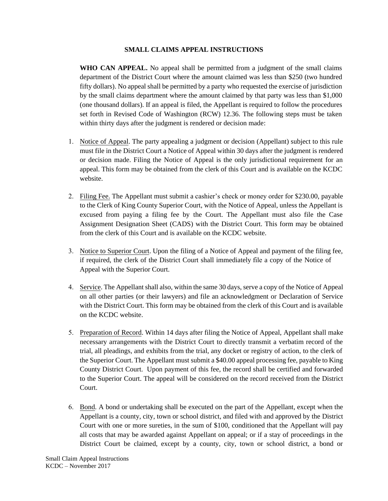## **SMALL CLAIMS APPEAL INSTRUCTIONS**

**WHO CAN APPEAL.** No appeal shall be permitted from a judgment of the small claims department of the District Court where the amount claimed was less than \$250 (two hundred fifty dollars). No appeal shall be permitted by a party who requested the exercise of jurisdiction by the small claims department where the amount claimed by that party was less than \$1,000 (one thousand dollars). If an appeal is filed, the Appellant is required to follow the procedures set forth in Revised Code of Washington (RCW) 12.36. The following steps must be taken within thirty days after the judgment is rendered or decision made:

- 1. Notice of Appeal. The party appealing a judgment or decision (Appellant) subject to this rule must file in the District Court a Notice of Appeal within 30 days after the judgment is rendered or decision made. Filing the Notice of Appeal is the only jurisdictional requirement for an appeal. This form may be obtained from the clerk of this Court and is available on the KCDC website.
- 2. Filing Fee. The Appellant must submit a cashier's check or money order for \$230.00, payable to the Clerk of King County Superior Court, with the Notice of Appeal, unless the Appellant is excused from paying a filing fee by the Court. The Appellant must also file the Case Assignment Designation Sheet (CADS) with the District Court. This form may be obtained from the clerk of this Court and is available on the KCDC website.
- 3. Notice to Superior Court. Upon the filing of a Notice of Appeal and payment of the filing fee, if required, the clerk of the District Court shall immediately file a copy of the Notice of Appeal with the Superior Court.
- 4. Service. The Appellant shall also, within the same 30 days, serve a copy of the Notice of Appeal on all other parties (or their lawyers) and file an acknowledgment or Declaration of Service with the District Court. This form may be obtained from the clerk of this Court and is available on the KCDC website.
- 5. Preparation of Record. Within 14 days after filing the Notice of Appeal, Appellant shall make necessary arrangements with the District Court to directly transmit a verbatim record of the trial, all pleadings, and exhibits from the trial, any docket or registry of action, to the clerk of the Superior Court. The Appellant must submit a \$40.00 appeal processing fee, payable to King County District Court. Upon payment of this fee, the record shall be certified and forwarded to the Superior Court. The appeal will be considered on the record received from the District Court.
- 6. Bond. A bond or undertaking shall be executed on the part of the Appellant, except when the Appellant is a county, city, town or school district, and filed with and approved by the District Court with one or more sureties, in the sum of \$100, conditioned that the Appellant will pay all costs that may be awarded against Appellant on appeal; or if a stay of proceedings in the District Court be claimed, except by a county, city, town or school district, a bond or